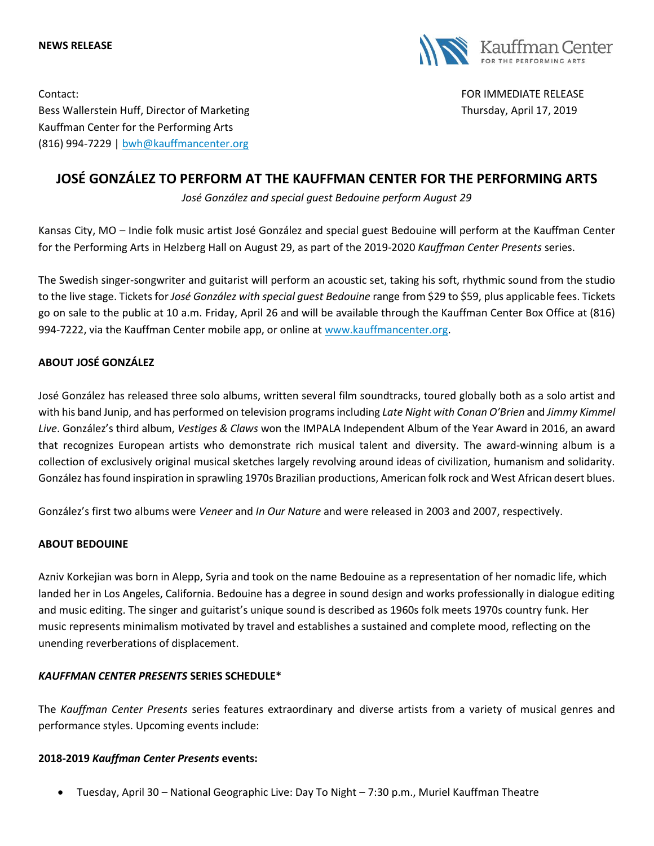#### **NEWS RELEASE**



Contact: FOR IMMEDIATE RELEASE Bess Wallerstein Huff, Director of Marketing Thursday, April 17, 2019 Kauffman Center for the Performing Arts (816) 994-7229 | [bwh@kauffmancenter.org](mailto:bwh@kauffmancenter.org)

# **JOSÉ GONZÁLEZ TO PERFORM AT THE KAUFFMAN CENTER FOR THE PERFORMING ARTS**

*José González and special guest Bedouine perform August 29*

Kansas City, MO – Indie folk music artist José González and special guest Bedouine will perform at the Kauffman Center for the Performing Arts in Helzberg Hall on August 29, as part of the 2019-2020 *Kauffman Center Presents* series.

The Swedish singer-songwriter and guitarist will perform an acoustic set, taking his soft, rhythmic sound from the studio to the live stage. Tickets for *José González with special guest Bedouine* range from \$29 to \$59, plus applicable fees. Tickets go on sale to the public at 10 a.m. Friday, April 26 and will be available through the Kauffman Center Box Office at (816) 994-7222, via the Kauffman Center mobile app, or online at [www.kauffmancenter.org.](http://www.kauffmancenter.org/)

# **ABOUT JOSÉ GONZÁLEZ**

José González has released three solo albums, written several film soundtracks, toured globally both as a solo artist and with his band Junip, and has performed on television programs including *Late Night with Conan O'Brien* and *Jimmy Kimmel Live*. González's third album, *Vestiges & Claws* won the IMPALA Independent Album of the Year Award in 2016, an award that recognizes European artists who demonstrate rich musical talent and diversity. The award-winning album is a collection of exclusively original musical sketches largely revolving around ideas of civilization, humanism and solidarity. González has found inspiration in sprawling 1970s Brazilian productions, American folk rock and West African desert blues.

González's first two albums were *Veneer* and *In Our Nature* and were released in 2003 and 2007, respectively.

### **ABOUT BEDOUINE**

Azniv Korkejian was born in Alepp, Syria and took on the name Bedouine as a representation of her nomadic life, which landed her in Los Angeles, California. Bedouine has a degree in sound design and works professionally in dialogue editing and music editing. The singer and guitarist's unique sound is described as 1960s folk meets 1970s country funk. Her music represents minimalism motivated by travel and establishes a sustained and complete mood, reflecting on the unending reverberations of displacement.

### *KAUFFMAN CENTER PRESENTS* **SERIES SCHEDULE\***

The *Kauffman Center Presents* series features extraordinary and diverse artists from a variety of musical genres and performance styles. Upcoming events include:

### **2018-2019** *Kauffman Center Presents* **events:**

• Tuesday, April 30 – National Geographic Live: Day To Night – 7:30 p.m., Muriel Kauffman Theatre